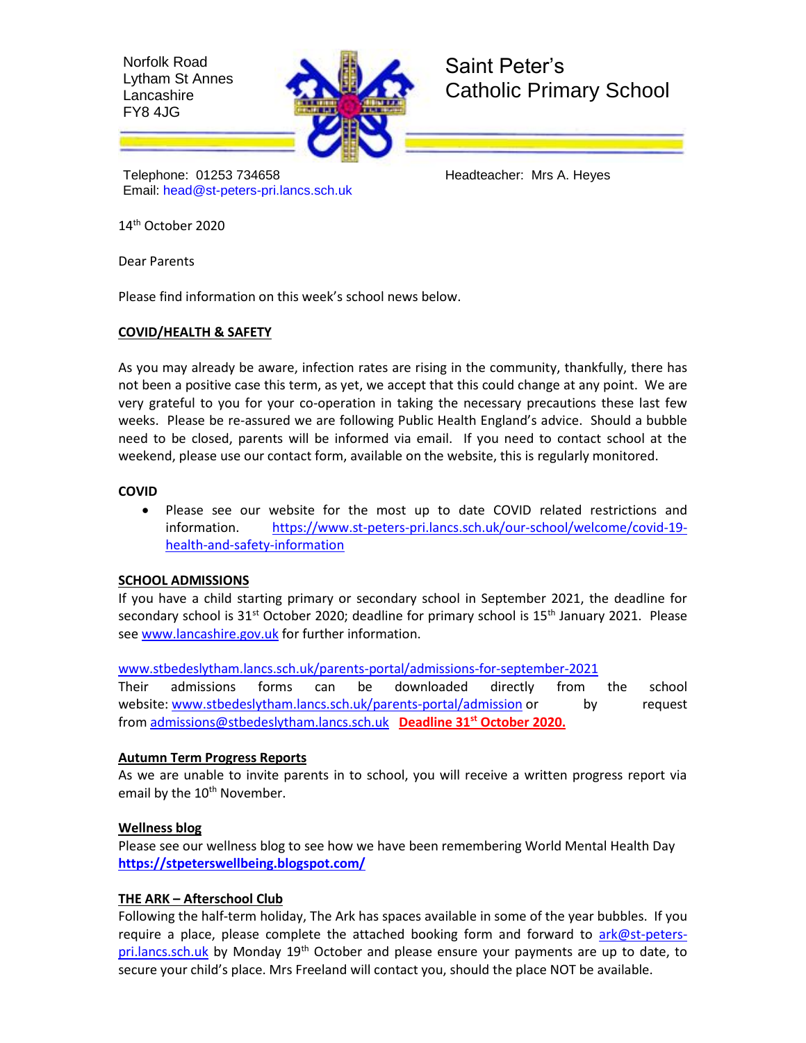Norfolk Road Lytham St Annes Lancashire FY8 4JG



# Saint Peter's Catholic Primary School

Telephone: 01253 734658 Headteacher: Mrs A. Heyes Email: [head@st-peters-pri.lancs.sch.uk](mailto:head@st-peters-pri.lancs.sch.uk)

14 th October 2020

Dear Parents

Please find information on this week's school news below.

#### **COVID/HEALTH & SAFETY**

As you may already be aware, infection rates are rising in the community, thankfully, there has not been a positive case this term, as yet, we accept that this could change at any point. We are very grateful to you for your co-operation in taking the necessary precautions these last few weeks. Please be re-assured we are following Public Health England's advice. Should a bubble need to be closed, parents will be informed via email. If you need to contact school at the weekend, please use our contact form, available on the website, this is regularly monitored.

#### **COVID**

 Please see our website for the most up to date COVID related restrictions and information. [https://www.st-peters-pri.lancs.sch.uk/our-school/welcome/covid-19](https://www.st-peters-pri.lancs.sch.uk/our-school/welcome/covid-19-health-and-safety-information) [health-and-safety-information](https://www.st-peters-pri.lancs.sch.uk/our-school/welcome/covid-19-health-and-safety-information)

#### **SCHOOL ADMISSIONS**

If you have a child starting primary or secondary school in September 2021, the deadline for secondary school is  $31^{st}$  October 2020; deadline for primary school is  $15^{th}$  January 2021. Please se[e www.lancashire.gov.uk](http://www.lancashire.gov.uk/) for further information.

[www.stbedeslytham.lancs.sch.uk/parents-portal/admissions-for-september-2021](http://www.stbedeslytham.lancs.sch.uk/parents-portal/admissions-for-september-2021) 

Their admissions forms can be downloaded directly from the school website: [www.stbedeslytham.lancs.sch.uk/parents-portal/admission](https://www.stbedeslytham.lancs.sch.uk/parents-portal/admission) or by request from [admissions@stbedeslytham.lancs.sch.uk](mailto:admissions@stbedeslytham.lancs.sch.uk) **Deadline 31st October 2020.**

#### **Autumn Term Progress Reports**

As we are unable to invite parents in to school, you will receive a written progress report via email by the 10<sup>th</sup> November.

#### **Wellness blog**

Please see our wellness blog to see how we have been remembering World Mental Health Day **<https://stpeterswellbeing.blogspot.com/>**

#### **THE ARK – Afterschool Club**

Following the half-term holiday, The Ark has spaces available in some of the year bubbles. If you require a place, please complete the attached booking form and forward to [ark@st-peters](mailto:ark@st-peters-pri.lancs.sch.uk)[pri.lancs.sch.uk](mailto:ark@st-peters-pri.lancs.sch.uk) by Monday  $19<sup>th</sup>$  October and please ensure your payments are up to date, to secure your child's place. Mrs Freeland will contact you, should the place NOT be available.